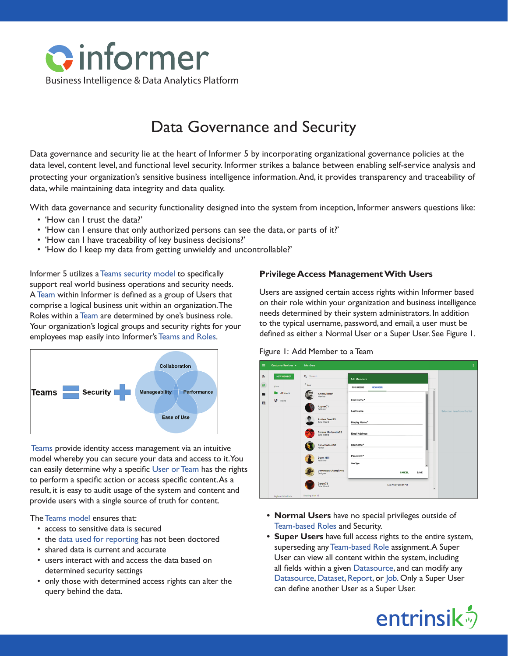

# Data Governance and Security

Data governance and security lie at the heart of Informer 5 by incorporating organizational governance policies at the data level, content level, and functional level security. Informer strikes a balance between enabling self-service analysis and protecting your organization's sensitive business intelligence information. And, it provides transparency and traceability of data, while maintaining data integrity and data quality.

With data governance and security functionality designed into the system from inception, Informer answers questions like:

- 'How can I trust the data?'
- 'How can I ensure that only authorized persons can see the data, or parts of it?'
- 'How can I have traceability of key business decisions?'
- 'How do I keep my data from getting unwieldy and uncontrollable?'

Informer 5 utilizes a [Teams security model](https://entrinsik.com/informer/informer-teams/) to specifically support real world business operations and security needs. A [Team](https://entrinsik.com/informer/informer-teams/) within Informer is defined as a group of Users that comprise a logical business unit within an organization. The Roles within a [Team](https://entrinsik.com/informer/informer-teams/) are determined by one's business role. Your organization's logical groups and security rights for your employees map easily into Informer's [Teams and Roles](https://entrinsik.com/informer/informer-teams/).



[Teams](https://entrinsik.com/informer/informer-teams/) provide identity access management via an intuitive model whereby you can secure your data and access to it. You can easily determine why a specific [User or Team](https://entrinsik.com/informer/informer-teams/) has the rights to perform a specific action or access specific content. As a result, it is easy to audit usage of the system and content and provide users with a single source of truth for content.

The [Teams model](https://entrinsik.com/informer/informer-teams/) ensures that:

- access to sensitive data is secured
- the [data used for reporting](https://entrinsik.com/informer/datasets/) has not been doctored
- shared data is current and accurate
- users interact with and access the data based on determined security settings
- only those with determined access rights can alter the query behind the data.

## **Privilege Access Management With Users**

Users are assigned certain access rights within Informer based on their role within your organization and business intelligence needs determined by their system administrators. In addition to the typical username, password, and email, a user must be defined as either a Normal User or a Super User. See Figure 1.





- **• Normal Users** have no special privileges outside of [Team-based Roles](https://entrinsik.com/informer/informer-teams/) and Security.
- **• Super Users** have full access rights to the entire system, superseding any [Team-based Role](https://entrinsik.com/informer/informer-teams/) assignment. A Super User can view all content within the system, including all fields within a given [Datasource](https://entrinsik.com/informer/datasources/), and can modify any [Datasource,](https://entrinsik.com/informer/datasources/) [Dataset](https://entrinsik.com/informer/datasets/), [Report,](https://entrinsik.com/informer/data-visualization-in-new-ways/) or [Job](https://entrinsik.com/informer/jobs/). Only a Super User can define another User as a Super User.

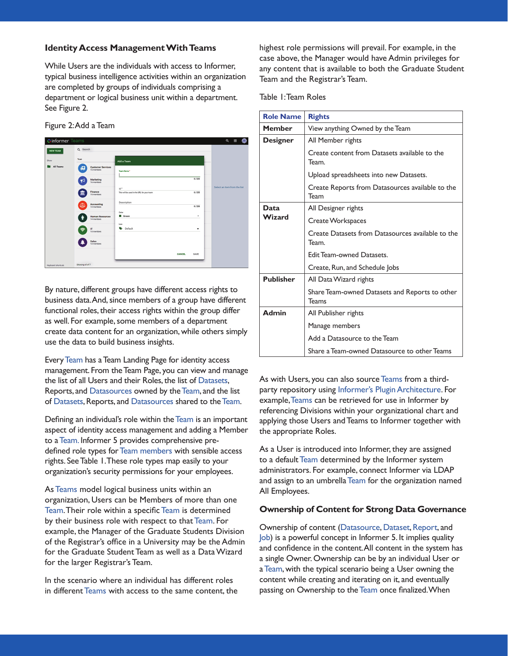## **Identity Access Management With Teams**

While Users are the individuals with access to Informer, typical business intelligence activities within an organization are completed by groups of individuals comprising a department or logical business unit within a department. See Figure 2.

Figure 2: Add a Team

| <b>Cinformer Teams</b> |                                             |                                                               | $\alpha$<br>₩<br>₩           |
|------------------------|---------------------------------------------|---------------------------------------------------------------|------------------------------|
| <b>NEW TEAM</b>        | Q Search                                    |                                                               |                              |
| Show                   | Team                                        | Add a Team                                                    |                              |
| All Teams              | <b>Customer Services</b><br>顑<br>15 members | Team Name*                                                    |                              |
|                        | Marketing<br>ಳ<br>16 members                | 0/255                                                         |                              |
|                        | <b>Finance</b><br>Ш<br>15 members           | $Id$ *<br>0/255<br>This will be used in the URL for your team | Select an item from the list |
|                        | Accounting<br>বত<br>14 members              | Description<br>0/255                                          |                              |
|                        | <b>Human Resources</b><br>÷<br>14 members   | Color<br><b>III</b> Green<br>$\check{}$                       |                              |
|                        | $\mathbf{r}$<br>Ξ<br>14 members             | loon<br>$\bullet$<br>Default<br>۰                             |                              |
|                        | <b>Sales</b><br>14 members                  |                                                               |                              |
|                        |                                             | <b>CANCEL</b><br>SAVE                                         |                              |
| Keyboard shortcuts     | Showing all of 7                            |                                                               |                              |

By nature, different groups have different access rights to business data. And, since members of a group have different functional roles, their access rights within the group differ as well. For example, some members of a department create data content for an organization, while others simply use the data to build business insights.

Every [Team](https://entrinsik.com/informer/informer-teams/) has a Team Landing Page for identity access management. From the Team Page, you can view and manage the list of all Users and their Roles, the list of [Datasets](https://entrinsik.com/informer/datasets/), Reports, and [Datasources](https://entrinsik.com/informer/datasources/) owned by the [Team,](https://entrinsik.com/informer/informer-teams/) and the list of [Datasets](https://entrinsik.com/informer/datasets/), Reports, and [Datasources](https://entrinsik.com/informer/datasources/) shared to the [Team](https://entrinsik.com/informer/informer-teams/).

Defining an individual's role within the [Team](https://entrinsik.com/informer/informer-teams/) is an important aspect of identity access management and adding a Member to a [Team.](https://entrinsik.com/informer/informer-teams/) Informer 5 provides comprehensive predefined role types for [Team members](https://entrinsik.com/informer/informer-teams/) with sensible access rights. See Table 1. These role types map easily to your organization's security permissions for your employees.

As [Teams](https://entrinsik.com/informer/informer-teams/) model logical business units within an organization, Users can be Members of more than one [Team](https://entrinsik.com/informer/informer-teams/). Their role within a specific [Team](https://entrinsik.com/informer/informer-teams/) is determined by their business role with respect to that [Team](https://entrinsik.com/informer/informer-teams/). For example, the Manager of the Graduate Students Division of the Registrar's office in a University may be the Admin for the Graduate Student Team as well as a Data Wizard for the larger Registrar's Team.

In the scenario where an individual has different roles in different [Teams](https://entrinsik.com/informer/informer-teams/) with access to the same content, the highest role permissions will prevail. For example, in the case above, the Manager would have Admin privileges for any content that is available to both the Graduate Student Team and the Registrar's Team.

Table 1: Team Roles

| <b>Role Name</b> | <b>Rights</b>                                              |
|------------------|------------------------------------------------------------|
| <b>Member</b>    | View anything Owned by the Team                            |
| <b>Designer</b>  | All Member rights                                          |
|                  | Create content from Datasets available to the<br>Team.     |
|                  | Upload spreadsheets into new Datasets.                     |
|                  | Create Reports from Datasources available to the<br>Team   |
| Data             | All Designer rights                                        |
| Wizard           | Create Workspaces                                          |
|                  | Create Datasets from Datasources available to the<br>Team. |
|                  | Edit Team-owned Datasets.                                  |
|                  | Create, Run, and Schedule Jobs                             |
| <b>Publisher</b> | All Data Wizard rights                                     |
|                  | Share Team-owned Datasets and Reports to other<br>Teams    |
| <b>Admin</b>     | All Publisher rights                                       |
|                  | Manage members                                             |
|                  | Add a Datasource to the Team                               |
|                  | Share a Team-owned Datasource to other Teams               |

As with Users, you can also source [Teams](https://entrinsik.com/informer/informer-teams/) from a thirdparty repository using [Informer's Plugin Architecture.](https://entrinsik.com/informer/plugins-and-apis/) For example, [Teams](https://entrinsik.com/informer/informer-teams/) can be retrieved for use in Informer by referencing Divisions within your organizational chart and applying those Users and Teams to Informer together with the appropriate Roles.

As a User is introduced into Informer, they are assigned to a default [Team](https://entrinsik.com/informer/informer-teams/) determined by the Informer system administrators. For example, connect Informer via LDAP and assign to an umbrella [Team](https://entrinsik.com/informer/informer-teams/) for the organization named All Employees.

#### **Ownership of Content for Strong Data Governance**

Ownership of content [\(Datasource](https://entrinsik.com/informer/datasources/), [Dataset,](https://entrinsik.com/informer/datasets/) [Report](https://entrinsik.com/informer/data-visualization-in-new-ways/), and [Job\)](https://entrinsik.com/informer/jobs/) is a powerful concept in Informer 5. It implies quality and confidence in the content. All content in the system has a single Owner. Ownership can be by an individual User or a [Team](https://entrinsik.com/informer/informer-teams/), with the typical scenario being a User owning the content while creating and iterating on it, and eventually passing on Ownership to the [Team](https://entrinsik.com/informer/informer-teams/) once finalized. When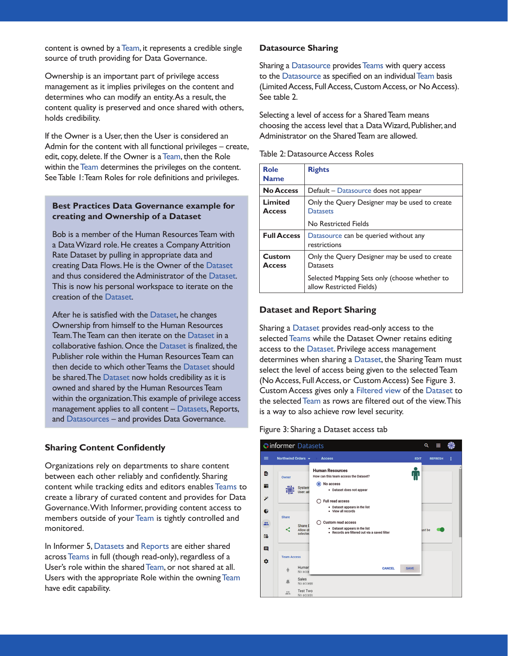content is owned by a [Team](https://entrinsik.com/informer/informer-teams/), it represents a credible single source of truth providing for Data Governance.

Ownership is an important part of privilege access management as it implies privileges on the content and determines who can modify an entity. As a result, the content quality is preserved and once shared with others, holds credibility.

If the Owner is a User, then the User is considered an Admin for the content with all functional privileges – create, edit, copy, delete. If the Owner is a [Team,](https://entrinsik.com/informer/informer-teams/) then the Role within the [Team](https://entrinsik.com/informer/informer-teams/) determines the privileges on the content. See Table 1: Team Roles for role definitions and privileges.

## **Best Practices Data Governance example for creating and Ownership of a Dataset**

Bob is a member of the Human Resources Team with a Data Wizard role. He creates a Company Attrition Rate Dataset by pulling in appropriate data and creating Data Flows. He is the Owner of the [Dataset](https://entrinsik.com/informer/datasets/) and thus considered the Administrator of the [Dataset.](https://entrinsik.com/informer/datasets/) This is now his personal workspace to iterate on the creation of the [Dataset.](https://entrinsik.com/informer/datasets/)

After he is satisfied with the [Dataset](https://entrinsik.com/informer/datasets/), he changes Ownership from himself to the Human Resources Team. The Team can then iterate on the [Dataset](https://entrinsik.com/informer/datasets/) in a collaborative fashion. Once the [Dataset](https://entrinsik.com/informer/datasets/) is finalized, the Publisher role within the Human Resources Team can then decide to which other Teams the [Dataset](https://entrinsik.com/informer/datasets/) should be shared. The [Dataset](https://entrinsik.com/informer/datasets/) now holds credibility as it is owned and shared by the Human Resources Team within the organization. This example of privilege access management applies to all content – [Datasets](https://entrinsik.com/informer/datasets/), Reports, and [Datasources](https://entrinsik.com/informer/datasources/) – and provides Data Governance.

## **Sharing Content Confidently**

Organizations rely on departments to share content between each other reliably and confidently. Sharing content while tracking edits and editors enables [Teams](https://entrinsik.com/informer/informer-teams/) to create a library of curated content and provides for Data Governance. With Informer, providing content access to members outside of your [Team](https://entrinsik.com/informer/informer-teams/) is tightly controlled and monitored.

In Informer 5, [Datasets](https://entrinsik.com/informer/datasets/) and [Reports](https://entrinsik.com/informer/data-visualization-in-new-ways/) are either shared across [Teams](https://entrinsik.com/informer/informer-teams/) in full (though read-only), regardless of a User's role within the shared [Team,](https://entrinsik.com/informer/informer-teams/) or not shared at all. Users with the appropriate Role within the owning [Team](https://entrinsik.com/informer/informer-teams/) have edit capability.

#### **Datasource Sharing**

Sharing a [Datasource](https://entrinsik.com/informer/datasources/) provides [Teams](https://entrinsik.com/informer/informer-teams/) with query access to the [Datasource](https://entrinsik.com/informer/datasources/) as specified on an individual [Team](https://entrinsik.com/informer/informer-teams/) basis (Limited Access, Full Access, Custom Access, or No Access). See table 2.

Selecting a level of access for a Shared Team means choosing the access level that a Data Wizard, Publisher, and Administrator on the Shared Team are allowed.

| Table 2: Datasource Access Roles |  |
|----------------------------------|--|
|----------------------------------|--|

| <b>Role</b><br><b>Name</b> | <b>Rights</b>                                                             |
|----------------------------|---------------------------------------------------------------------------|
| <b>No Access</b>           | Default - Datasource does not appear                                      |
| Limited<br><b>Access</b>   | Only the Query Designer may be used to create<br><b>Datasets</b>          |
|                            | No Restricted Fields                                                      |
| <b>Full Access</b>         | Datasource can be queried without any<br>restrictions                     |
| Custom<br><b>Access</b>    | Only the Query Designer may be used to create<br>Datasets                 |
|                            | Selected Mapping Sets only (choose whether to<br>allow Restricted Fields) |

#### **Dataset and Report Sharing**

Sharing a [Dataset](https://entrinsik.com/informer/datasets/) provides read-only access to the selected [Teams](https://entrinsik.com/informer/informer-teams/) while the Dataset Owner retains editing access to the [Dataset](https://entrinsik.com/informer/datasets/). Privilege access management determines when sharing a [Dataset](https://entrinsik.com/informer/datasets/), the Sharing Team must select the level of access being given to the selected Team (No Access, Full Access, or Custom Access) See Figure 3. Custom Access gives only a [Filtered view](https://entrinsik.com/informer/data-filters/) of the [Dataset](https://entrinsik.com/informer/datasets/) to the selected [Team](https://entrinsik.com/informer/informer-teams/) as rows are filtered out of the view. This is a way to also achieve row level security.

#### Figure 3: Sharing a Dataset access tab